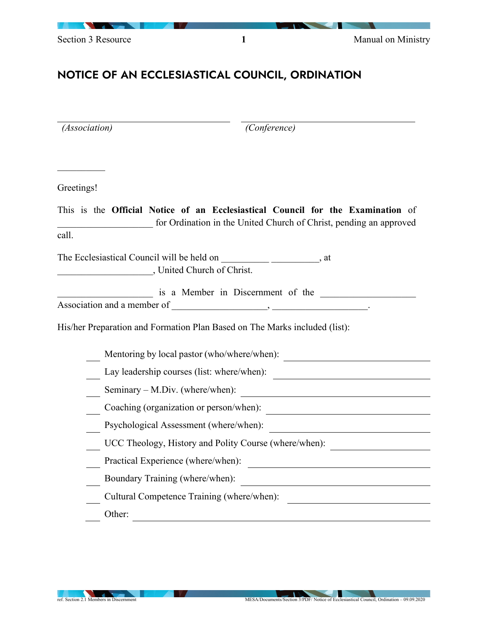

## NOTICE OF AN ECCLESIASTICAL COUNCIL, ORDINATION

| (Association) | (Conference)                                                                                                                                          |
|---------------|-------------------------------------------------------------------------------------------------------------------------------------------------------|
|               |                                                                                                                                                       |
| Greetings!    |                                                                                                                                                       |
| call.         | This is the Official Notice of an Ecclesiastical Council for the Examination of<br>for Ordination in the United Church of Christ, pending an approved |
|               | United Church of Christ.                                                                                                                              |
|               | is a Member in Discernment of the                                                                                                                     |
|               | His/her Preparation and Formation Plan Based on The Marks included (list):                                                                            |
|               | Mentoring by local pastor (who/where/when):                                                                                                           |
|               | Lay leadership courses (list: where/when):                                                                                                            |
|               | Seminary – M.Div. (where/when):                                                                                                                       |
|               | Coaching (organization or person/when):                                                                                                               |
|               | Psychological Assessment (where/when):                                                                                                                |
|               | UCC Theology, History and Polity Course (where/when):                                                                                                 |
|               | Practical Experience (where/when):<br><u> 1989 - Andrea Station Barbara (h. 1989)</u>                                                                 |
|               | Boundary Training (where/when):                                                                                                                       |
|               | Cultural Competence Training (where/when):                                                                                                            |
| Other:        |                                                                                                                                                       |